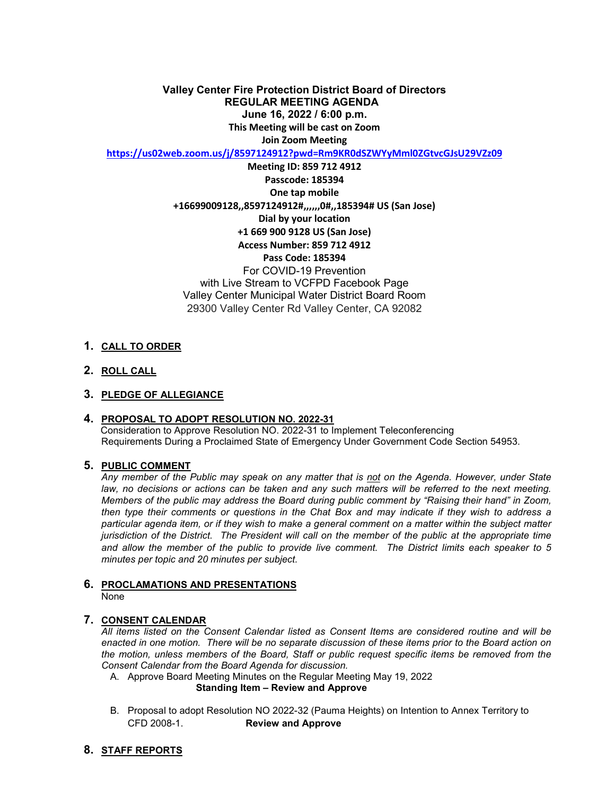**June 16, 2022 / 6:00 p.m. Valley Center Fire Protection District Board of Directors REGULAR MEETING AGENDA This Meeting will be cast on Zoom Join Zoom Meeting** 

**<https://us02web.zoom.us/j/8597124912?pwd=Rm9KR0dSZWYyMml0ZGtvcGJsU29VZz09>**

 **Access Number: 859 712 4912 Meeting ID: 859 712 4912 Passcode: 185394 One tap mobile +16699009128,,8597124912#,,,,,,0#,,185394# US (San Jose) Dial by your location +1 669 900 9128 US (San Jose) Pass Code: 185394**  For COVID-19 Prevention with Live Stream to VCFPD Facebook Page Valley Center Municipal Water District Board Room 29300 Valley Center Rd Valley Center, CA 92082

## **1. CALL TO ORDER**

**2. ROLL CALL** 

#### **3. PLEDGE OF ALLEGIANCE**

#### **4. PROPOSAL TO ADOPT RESOLUTION NO. 2022-31**

Consideration to Approve Resolution NO. 2022-31 to Implement Teleconferencing Requirements During a Proclaimed State of Emergency Under Government Code Section 54953.

#### **5. PUBLIC COMMENT**

 *Any member of the Public may speak on any matter that is not on the Agenda. However, under State Members of the public may address the Board during public comment by "Raising their hand" in Zoom, jurisdiction of the District. The President will call on the member of the public at the appropriate time*  law, no decisions or actions can be taken and any such matters will be referred to the next meeting. *then type their comments or questions in the Chat Box and may indicate if they wish to address a particular agenda item, or if they wish to make a general comment on a matter within the subject matter and allow the member of the public to provide live comment. The District limits each speaker to 5 minutes per topic and 20 minutes per subject.* 

#### **6. PROCLAMATIONS AND PRESENTATIONS**  None

#### **7. CONSENT CALENDAR**

 *enacted in one motion. There will be no separate discussion of these items prior to the Board action on All items listed on the Consent Calendar listed as Consent Items are considered routine and will be the motion, unless members of the Board, Staff or public request specific items be removed from the Consent Calendar from the Board Agenda for discussion.* 

A. Approve Board Meeting Minutes on the Regular Meeting May 19, 2022

#### **Standing Item – Review and Approve**

CFD 2008-1. B. Proposal to adopt Resolution NO 2022-32 (Pauma Heights) on Intention to Annex Territory to **Review and Approve** 

#### **8. STAFF REPORTS**